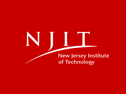# INTI **New Jersey Institute** of Technology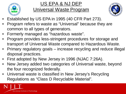

# US EPA & NJ DEP

# Universal Waste Program



- Established by US EPA in 1995 (40 CFR Part 273).
- Program refers to waste as "Universal" because they are common to all types of generators.
- Formerly managed as "hazardous waste".
- Program provides less-stringent procedures for storage and transport of Universal Waste compared to Hazardous Waste.
- Primary regulatory goals increase recycling and reduce illegal disposal practices.
- First adopted by New Jersey in 1996 (NJAC 7:26A).
- New Jersey added two categories of Universal waste, beyond the four recognized federally.
- Universal waste is classified in New Jersey's Recycling Regulations as "Class D Recyclable Material".

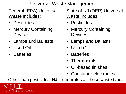## Universal Waste Management

Federal (EPA) Universal Waste Includes:

- Pesticides
- **Mercury Containing** Devices
- Lamps and Ballasts
- Used Oil
- **Batteries**

State of NJ (DEP) Universal Waste Includes:

- **Pesticides**
- **Mercury Containing Devices**
- Lamps and Ballasts
- Used Oil
- **Batteries**
- **Thermostats**
- Oil-based finishes
- Consumer electronics

 $\checkmark$  Other than pesticides, NJIT generates all these waste types

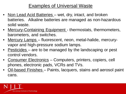## Examples of Universal Waste

- Non Lead Acid Batteries wet, dry, intact, and broken batteries. Alkaline batteries are managed as non-hazardous solid waste.
- Mercury-Containing Equipment thermostats, thermometers, barometers, and switches.
- Mercury Lamps fluorescent, neon, metal-halide, mercuryvapor and high-pressure sodium lamps.
- Pesticides are to be managed by the landscaping or pest control vendors.
- Consumer Electronics Computers, printers, copiers, cell phones, electronic pads, VCRs and TVs.
- Oil-based Finishes Paints, lacquers, stains and aerosol paint cans.

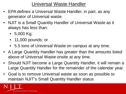Universal Waste Handler

- EPA defines a Universal Waste Handler, in part, as any generator of Universal waste.
- NJIT is a Small Quantity Handler of Universal Waste as it always has less than:
	- 5,000 Kg;
	- 11,000 pounds; or
	- 5.5 tons of Universal Waste on campus at any time.
- A Large Quantity Handler has greater than the amounts listed above of Universal Waste onsite at any time.
- Should NJIT become a Large Quantity Handler, it will remain a Large Quantity Handler for the remainder of the calendar year.
- Goal is to remove Universal waste as soon as possible to maintain NJIT's Small Quantity Handler status

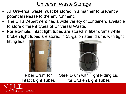- All Universal waste must be stored in a manner to prevent a potential release to the environment.
- The EHS Department has a wide variety of containers available to store different types of Universal Waste.
- For example, intact light tubes are stored in fiber drums while broken light tubes are stored in 55-gallon steel drums with tight

fitting lids.





#### Fiber Drum for Intact Light Tubes

New Jersey Institute of Technology

Steel Drum with Tight Fitting Lid for Broken Light Tubes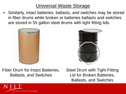• Similarly, intact batteries, ballasts, and switches may be stored in fiber drums while broken or batteries ballasts and switches are stored in 55 gallon steel drums with tight fitting lids.





Fiber Drum for Intact Batteries, Ballasts, and Switches

Steel Drum with Tight Fitting Lid for Broken Batteries, Ballasts, and Switches

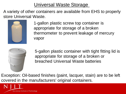A variety of other containers are available from EHS to properly store Universal Waste.



1-gallon plastic screw top container is appropriate for storage of a broken thermometer to prevent leakage of mercury vapor



5-gallon plastic container with tight fitting lid is appropriate for storage of a broken or breached Universal Waste batteries

Exception: Oil-based finishes (paint, lacquer, stain) are to be left covered in the manufacturers' original containers.

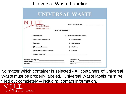#### Universal Waste Labeling

| $\mathsf{I}$                                                                                                                                                                                                                   |                             |
|--------------------------------------------------------------------------------------------------------------------------------------------------------------------------------------------------------------------------------|-----------------------------|
| <b>University Heights</b>                                                                                                                                                                                                      | Waste Removal Date          |
| Newark, NJ 07102                                                                                                                                                                                                               |                             |
|                                                                                                                                                                                                                                | <b>CHECK ALL THAT APPLY</b> |
| ( ) Battery (ies)                                                                                                                                                                                                              | ) Mercury Containing Device |
| ) Mercury Thermostat(s)                                                                                                                                                                                                        | ) Thermometer               |
| $( )$ Lamp(s)                                                                                                                                                                                                                  | ( ) Manometer               |
| ) Electronic Device(s)                                                                                                                                                                                                         | ( ) Switches                |
| ( ) Elemental/ Drained Mercury                                                                                                                                                                                                 | ( ) Gauges                  |
| ( ) Other, Describe : the contract of the contract of the contract of the contract of the contract of the contract of the contract of the contract of the contract of the contract of the contract of the contract of the cont |                             |

No matter which container is selected - All containers of Universal Waste must be properly labeled. Universal Waste labels must be filled out completely – including contact information.

New Jersey Institute of Technology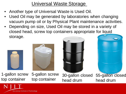- Another type of Universal Waste is Used Oil.
- Used Oil may be generated by laboratories when changing vacuum pump oil or by Physical Plant maintenance activities.
- Depending on size, Used Oil may be stored in a variety of closed head, screw top containers appropriate for liquid storage.









1-gallon screw top container 5-gallon screw top container

30-gallon closed 55-gallon closed head drum head drum

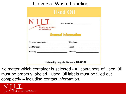#### Universal Waste Labeling

| <b>Used Oil</b>                              |                                      |  |  |  |  |  |
|----------------------------------------------|--------------------------------------|--|--|--|--|--|
| <b>New Jersey Institute</b><br>of Technology | Waste Removal Date                   |  |  |  |  |  |
| <b>General Information</b>                   |                                      |  |  |  |  |  |
| Principle Investigator: ____________________ | Telephone: ______________________    |  |  |  |  |  |
|                                              |                                      |  |  |  |  |  |
|                                              |                                      |  |  |  |  |  |
|                                              | University Heights, Newark, NJ 07102 |  |  |  |  |  |

No matter which container is selected - All containers of Used Oil must be properly labeled. Used Oil labels must be filled out completely – including contact information.

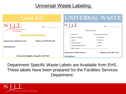#### Universal Waste Labeling

| <b>Used Oil</b>                                                            | UNIVERSAL WASTE                                                                                    |  |  |  |
|----------------------------------------------------------------------------|----------------------------------------------------------------------------------------------------|--|--|--|
| <b>Date <i>Compare</i></b><br><b>New Jersey Institute</b><br>of Technology | <b>CHECK ALL THAT APPLY</b>                                                                        |  |  |  |
| <b>General Information</b>                                                 | ( ) Battery (ies)<br>( ) Mercury Containing Device<br>( ) Mercury Thermostat(s)<br>( ) Thermometer |  |  |  |
| Telephone: (973) 596-3123<br><b>Department: Facilities Services</b>        | $( )$ Lamp(s)<br>( ) Manometer<br>( ) Switches<br>( ) Electronic Device(s)                         |  |  |  |
| <b>Building/Room:</b>                                                      | ( ) Elemental/ Drained Mercury<br>( ) Gauges<br>( ) Other, Describe :                              |  |  |  |
|                                                                            | Telephone: (973) 596 - 3123<br><b>Department: Facilities Services</b>                              |  |  |  |
| University Heights, Newark, NJ 07102                                       | <b>Building/Room:</b>                                                                              |  |  |  |

Department Specific Waste Labels are Available from EHS. These labels have been prepared for the Facilities Services Department.

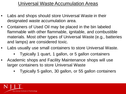#### Universal Waste Accumulation Areas

- Labs and shops should store Universal Waste in their designated waste accumulation area.
- Containers of Used Oil may be placed in the bin labeled flammable with other flammable, ignitable, and combustible materials. Most other types of Universal Waste (e.g., batteries and lamps) are considered toxic.
- Labs usually use small containers to store Universal Waste.
	- Typically 1 quart, 1 gallon, or 5 gallon containers
- Academic shops and Facility Maintenance shops will use larger containers to store Universal Waste
	- Typically 5 gallon, 30 gallon, or 55 gallon containers

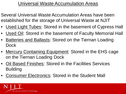## Universal Waste Accumulation Areas

- Several Universal Waste Accumulation Areas have been established for the storage of Universal Waste at NJIT
- Used Light Tubes: Stored in the basement of Cypress Hall
- Used Oil: Stored in the basement of Faculty Memorial Hall
- Batteries and Ballasts: Stored on the Tiernan Loading Dock
- Mercury Containing Equipment: Stored in the EHS cage on the Tiernan Loading Dock
- Oil Based Finishes: Stored in the Facilities Services Building
- Consumer Electronics: Stored in the Student Mall

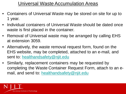## Universal Waste Accumulation Areas

- Containers of Universal Waste may be stored on site for up to 1 year.
- Individual containers of Universal Waste should be dated once waste is first placed in the container.
- Removal of Universal waste may be arranged by calling EHS at extension 3059.
- Alternatively, the waste removal request form, found on the EHS website, may be completed, attached to an e-mail, and sent to: [healthandsafety@njit.edu](mailto:healthandsafety@njit.edu)
- Similarly, replacement containers may be requested by completing the Waste Container Request Form, attach to an email, and send to: [healthandsafety@njit.edu](mailto:healthandsafety@njit.edu)

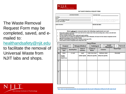

#### The Waste Removal Request Form may be completed, saved, and emailed to: [healthandsafety@njit.edu](mailto:healthandsafety@njit.edu) to facilitate the removal of Universal Waste from NJIT labs and shops.

|                                                                                                                        |                                                                                         |   | <b>Lab Contact Information</b> |                                                                                                                                                                                                                                                                                                                                                                                                                                                                                                                                                                            |                                                         |                                                                                                   |                      | Submittal Date: The Contract of the Submittal Date: |  |                     |                  |
|------------------------------------------------------------------------------------------------------------------------|-----------------------------------------------------------------------------------------|---|--------------------------------|----------------------------------------------------------------------------------------------------------------------------------------------------------------------------------------------------------------------------------------------------------------------------------------------------------------------------------------------------------------------------------------------------------------------------------------------------------------------------------------------------------------------------------------------------------------------------|---------------------------------------------------------|---------------------------------------------------------------------------------------------------|----------------------|-----------------------------------------------------|--|---------------------|------------------|
|                                                                                                                        |                                                                                         |   |                                |                                                                                                                                                                                                                                                                                                                                                                                                                                                                                                                                                                            |                                                         |                                                                                                   |                      |                                                     |  |                     |                  |
| Room:<br>the control of the control of the control of the control of the control of<br>Principal Investigator/Faculty: |                                                                                         |   |                                |                                                                                                                                                                                                                                                                                                                                                                                                                                                                                                                                                                            | This date reflects the date waste was submitted to EHS. |                                                                                                   |                      |                                                     |  |                     |                  |
|                                                                                                                        |                                                                                         |   |                                | Contact Information: University of the Contract of the Contract of the Contract of the Contract of the Contract of the Contract of the Contract of the Contract of the Contract of the Contract of the Contract of the Contrac                                                                                                                                                                                                                                                                                                                                             |                                                         | for hazardous waste determination. This date does not<br>represent the end of waste accumulation. |                      |                                                     |  |                     |                  |
|                                                                                                                        |                                                                                         |   |                                |                                                                                                                                                                                                                                                                                                                                                                                                                                                                                                                                                                            |                                                         |                                                                                                   |                      |                                                     |  |                     |                  |
| <b>Special Instructions:</b>                                                                                           |                                                                                         |   |                                |                                                                                                                                                                                                                                                                                                                                                                                                                                                                                                                                                                            |                                                         | FOR EHS USE ONLY:                                                                                 |                      |                                                     |  |                     |                  |
|                                                                                                                        |                                                                                         |   |                                |                                                                                                                                                                                                                                                                                                                                                                                                                                                                                                                                                                            |                                                         |                                                                                                   |                      |                                                     |  |                     |                  |
| ۰<br>٠<br>۰<br>٠                                                                                                       | should be included on waste label.<br>approximate percentage of each substance if known |   |                                | Waste will not be removed unless the following requirements are met:<br>Every waste container should have a NJIT waste label will all contents listed. Every item including water, solvents, and solid waste<br>All waste container should be closed, sealed and in good condition.<br>The waste labels are to be filled out completely including lab contact information, full name of all the chemical components and the<br>If known, concentration percentages of each substance should equal 100%.<br>Waste should be stored in designated waste storage area/s only. |                                                         |                                                                                                   |                      |                                                     |  |                     |                  |
|                                                                                                                        |                                                                                         |   |                                |                                                                                                                                                                                                                                                                                                                                                                                                                                                                                                                                                                            |                                                         |                                                                                                   |                      |                                                     |  |                     |                  |
|                                                                                                                        |                                                                                         |   |                                |                                                                                                                                                                                                                                                                                                                                                                                                                                                                                                                                                                            | <b>Type of Waste</b>                                    |                                                                                                   |                      | <b>Acutely</b>                                      |  |                     |                  |
| □                                                                                                                      | <b>Chemical</b>                                                                         | п |                                | <b>Biological/Medical</b>                                                                                                                                                                                                                                                                                                                                                                                                                                                                                                                                                  | п                                                       | Radiological                                                                                      | □                    |                                                     |  |                     | <b>Universal</b> |
|                                                                                                                        |                                                                                         |   |                                |                                                                                                                                                                                                                                                                                                                                                                                                                                                                                                                                                                            |                                                         |                                                                                                   |                      | Hazardous <sup>1</sup>                              |  | □                   |                  |
| #                                                                                                                      | <b>Container</b><br><b>Type:</b>                                                        |   | <b>Quantity/Size:</b>          | State of<br><b>Contents:</b>                                                                                                                                                                                                                                                                                                                                                                                                                                                                                                                                               |                                                         | <b>Location of</b><br><b>Waste:</b>                                                               |                      | <b>Contents:</b>                                    |  | <b>Hazard Type:</b> |                  |
| EX.                                                                                                                    | Plastic                                                                                 |   | $1/1$ pint                     | Liguid                                                                                                                                                                                                                                                                                                                                                                                                                                                                                                                                                                     |                                                         | <b>Under Fume Hood</b>                                                                            |                      | Methanol, Water                                     |  | <b>Flammable</b>    |                  |
|                                                                                                                        | <b>(See NJIT</b><br><b>Container</b><br><b>Request Form)</b>                            |   |                                | (Solid/Liquid)                                                                                                                                                                                                                                                                                                                                                                                                                                                                                                                                                             |                                                         | (Please be specific)                                                                              | (Please be specific) |                                                     |  |                     |                  |
| 1                                                                                                                      |                                                                                         |   |                                |                                                                                                                                                                                                                                                                                                                                                                                                                                                                                                                                                                            |                                                         |                                                                                                   |                      |                                                     |  |                     |                  |
|                                                                                                                        |                                                                                         |   |                                |                                                                                                                                                                                                                                                                                                                                                                                                                                                                                                                                                                            |                                                         |                                                                                                   |                      |                                                     |  |                     |                  |
|                                                                                                                        |                                                                                         |   |                                |                                                                                                                                                                                                                                                                                                                                                                                                                                                                                                                                                                            |                                                         |                                                                                                   |                      |                                                     |  |                     |                  |
|                                                                                                                        |                                                                                         |   |                                |                                                                                                                                                                                                                                                                                                                                                                                                                                                                                                                                                                            |                                                         |                                                                                                   |                      |                                                     |  |                     |                  |
|                                                                                                                        |                                                                                         |   |                                |                                                                                                                                                                                                                                                                                                                                                                                                                                                                                                                                                                            |                                                         |                                                                                                   |                      |                                                     |  |                     |                  |
| 2                                                                                                                      |                                                                                         |   |                                |                                                                                                                                                                                                                                                                                                                                                                                                                                                                                                                                                                            |                                                         |                                                                                                   |                      |                                                     |  |                     |                  |
|                                                                                                                        |                                                                                         |   |                                |                                                                                                                                                                                                                                                                                                                                                                                                                                                                                                                                                                            |                                                         |                                                                                                   |                      |                                                     |  |                     |                  |

NJIT WASTE REMOVAL REQUEST FORM



lsafety/sites/environmentalsafety/files/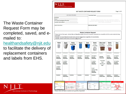

#### NJIT WASTE CONTAINER REQUEST FORM

Page 1 of 2

The Waste Container Request Form may be completed, saved, and emailed to:

[healthandsafety@njit.edu](mailto:healthandsafety@njit.edu)

to facilitate the delivery of replacement containers and labels from EHS.

| Lab Contact Information                                                                                     | <b>Submittal Date:</b>                                                                                                                                      |  |  |  |
|-------------------------------------------------------------------------------------------------------------|-------------------------------------------------------------------------------------------------------------------------------------------------------------|--|--|--|
| Building:<br>Room:<br>Principal Investigator/Faculty:<br>Contact Information: New York Contact Information: | This date reflects the date waste was submitted to EHS for<br>hazardous waste determination. This date does not represent the<br>end of waste accumulation. |  |  |  |
| Special Instructions:                                                                                       | <b>FOR EHS USE ONLY:</b>                                                                                                                                    |  |  |  |

**Waste Container Request** 

Please check all that apply. Indicate Size and Quantity needed. Ensure all containers requested are compatible with the waste materials being generated.

Example: Corrosive Materials should not be stored in Steel drums regardless of concentration Example: Liquids should never be stored in Fiber drums.

| <b>Plastic</b>                                                                                                                                        | <b>Plastic</b>                                                                                               | <b>Plastic</b><br><b>Screw-Top</b>                                     | <b>Plastic</b>                                                                                                                                                                                                                                                                                                        | <b>Steel</b>                                                                                                                                                                | <b>Plastic</b><br>Drum<br>Liner/Bag                                                                                                                                                 | <b>Fiber Lined</b><br><b>Biological</b><br><b>Waste Box</b><br>$-48$                              | <b>Plastic</b><br><b>Sharps</b><br>Container                                                    | Fiber                                                                                                          |
|-------------------------------------------------------------------------------------------------------------------------------------------------------|--------------------------------------------------------------------------------------------------------------|------------------------------------------------------------------------|-----------------------------------------------------------------------------------------------------------------------------------------------------------------------------------------------------------------------------------------------------------------------------------------------------------------------|-----------------------------------------------------------------------------------------------------------------------------------------------------------------------------|-------------------------------------------------------------------------------------------------------------------------------------------------------------------------------------|---------------------------------------------------------------------------------------------------|-------------------------------------------------------------------------------------------------|----------------------------------------------------------------------------------------------------------------|
| Size/Quantity<br>1 Pint<br><b>Quantity</b><br><b>Requested</b><br>1 Quart<br>Quantity<br><b>Requested</b><br>1 Gallon<br>Quantity<br><b>Requested</b> | Size/Quantity<br>1 Gallon<br><b>Quantity</b><br><b>Requested</b><br>5 Gallon<br>Quantity<br><b>Requested</b> | Size/Quantity<br>5 Gallon<br><b>Quantity</b><br><b>Requested</b>       | Size/Quantity<br>30 Gallon<br>Quantity<br><b>Requested</b>                                                                                                                                                                                                                                                            | Size/Quantity<br>30 Gallon<br><b>Quantity</b><br><b>Requested</b>                                                                                                           | <b>Type/Quantity</b><br>30 Gallon<br><b>Quantity</b><br><b>Requested</b><br>5 Gallon<br>Quantity<br><b>Requested</b><br>Small<br><b>Ziplock Bag</b><br>Quantity<br><b>Requested</b> | Quantity<br><b>Quantity</b><br><b>Requested</b><br>*Includes<br>Red<br><b>BioHazard</b><br>$Bag*$ | Size/Quantity<br>Small<br>Quantity<br><b>Requested</b><br>Large<br>Quantity<br><b>Requested</b> | Size/Quantity<br>15 Gallon<br><b>Quantity</b><br><b>Requested</b><br>30 Gallon<br>Quantity<br><b>Requested</b> |
| <b>Contents:</b>                                                                                                                                      | <b>Contents:</b><br><b>SOLDS ONLY</b>                                                                        | <b>Contents:</b>                                                       | <b>Contents:</b>                                                                                                                                                                                                                                                                                                      | <b>Contents:</b>                                                                                                                                                            | <b>Contents:</b>                                                                                                                                                                    | <b>Contents:</b><br><b>SOLIDS ONLY</b>                                                            | <b>Contents:</b><br><b>SOLIDS ONLY</b>                                                          | <b>Contents:</b><br><b>SOLIDS ONLY</b>                                                                         |
| <b>Used Oil</b><br><b>CALLER</b><br>University Region, Bossello, BRITI CO.                                                                            | ட                                                                                                            | <b>HAZARDOUS WASTE</b><br>What decomps, management of subsets that are | <b>ELECTROPHORESIS WASTE</b><br>NILI<br><b>Wede Bernard Eate</b><br><b>Bara of Company </b><br>Cl siquiditasme<br>Gold Wome<br><b>Ouried Countury</b><br><b>PERMITER</b><br>Contractor<br><b><i><u>Right</u>ion Island</i></b><br>C Networking<br><b>ISSA</b><br>http://<br>http://<br>politica algoriano.<br>Ferrare | NILI<br><b>Sign</b><br><b>WELL BUY ER</b><br><b>Longitude</b><br><b><i><u>Temperature</u></i></b><br>Dealer<br>( ) if we now between<br>La compete poster<br><b>COLLEGE</b> | <b>UNIVERSAL WASTE</b><br><b>DELIVERED</b><br>L'experience<br><b>Light County</b><br>1.5 8.999<br>$-0.000$<br><b>County</b><br>$\frac{1}{2}$                                        | <b>NON-HAZARDOUS WASTE</b><br>$N \parallel L \perp$<br><b>Indicate Text and</b><br><b>Lington</b> | нц                                                                                              | <b>Biological Waste</b><br><b>CONTRACTOR</b>                                                                   |



Please check all labels needed and quantity requested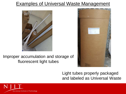#### **Examples of Universal Waste Management**



#### Improper accumulation and storage of fluorescent light tubes



#### Light tubes properly packaged and labeled as Universal Waste

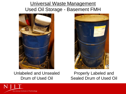## Universal Waste Management Used Oil Storage - Basement FMH



Unlabeled and Unsealed Drum of Used Oil



Properly Labeled and Sealed Drum of Used Oil

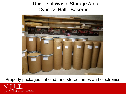#### Universal Waste Storage Area Cypress Hall - Basement



Properly packaged, labeled, and stored lamps and electronics

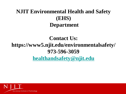# **NJIT Environmental Health and Safety (EHS) Department**

# **Contact Us: https://www5.njit.edu/environmentalsafety/ 973-596-3059 [healthandsafety@njit.edu](mailto:healthandsafety@njit.edu)**